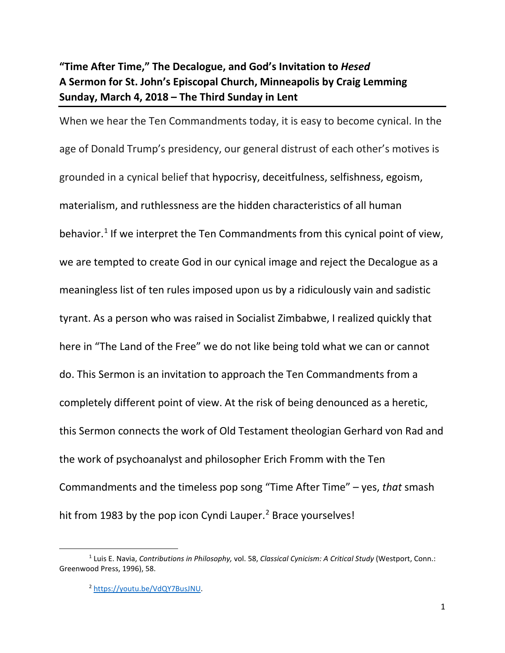## **"Time After Time," The Decalogue, and God's Invitation to** *Hesed* **A Sermon for St. John's Episcopal Church, Minneapolis by Craig Lemming Sunday, March 4, 2018 – The Third Sunday in Lent**

When we hear the Ten Commandments today, it is easy to become cynical. In the age of Donald Trump's presidency, our general distrust of each other's motives is grounded in a cynical belief that hypocrisy, deceitfulness, selfishness, egoism, materialism, and ruthlessness are the hidden characteristics of all human behavior.<sup>[1](#page-0-0)</sup> If we interpret the Ten Commandments from this cynical point of view, we are tempted to create God in our cynical image and reject the Decalogue as a meaningless list of ten rules imposed upon us by a ridiculously vain and sadistic tyrant. As a person who was raised in Socialist Zimbabwe, I realized quickly that here in "The Land of the Free" we do not like being told what we can or cannot do. This Sermon is an invitation to approach the Ten Commandments from a completely different point of view. At the risk of being denounced as a heretic, this Sermon connects the work of Old Testament theologian Gerhard von Rad and the work of psychoanalyst and philosopher Erich Fromm with the Ten Commandments and the timeless pop song "Time After Time" – yes, *that* smash hit from 1983 by the pop icon Cyndi Lauper.<sup>[2](#page-0-1)</sup> Brace yourselves!

<span id="page-0-1"></span><span id="page-0-0"></span><sup>1</sup> Luis E. Navia, *Contributions in Philosophy,* vol. 58, *Classical Cynicism: A Critical Study* (Westport, Conn.: Greenwood Press, 1996), 58.

<sup>2</sup> [https://youtu.be/VdQY7BusJNU.](https://youtu.be/VdQY7BusJNU)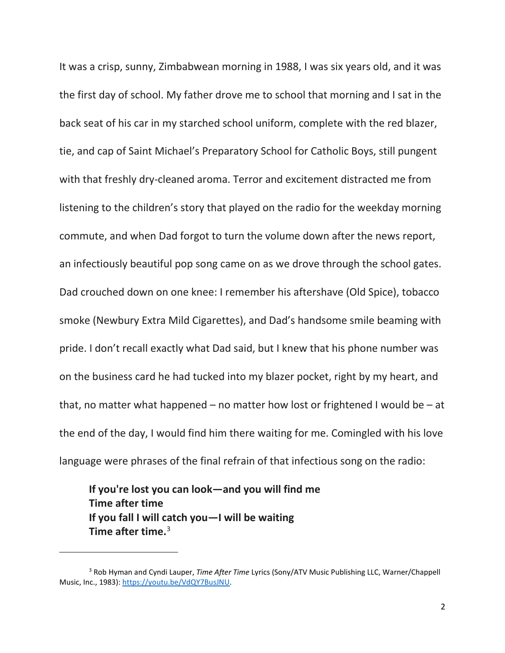It was a crisp, sunny, Zimbabwean morning in 1988, I was six years old, and it was the first day of school. My father drove me to school that morning and I sat in the back seat of his car in my starched school uniform, complete with the red blazer, tie, and cap of Saint Michael's Preparatory School for Catholic Boys, still pungent with that freshly dry-cleaned aroma. Terror and excitement distracted me from listening to the children's story that played on the radio for the weekday morning commute, and when Dad forgot to turn the volume down after the news report, an infectiously beautiful pop song came on as we drove through the school gates. Dad crouched down on one knee: I remember his aftershave (Old Spice), tobacco smoke (Newbury Extra Mild Cigarettes), and Dad's handsome smile beaming with pride. I don't recall exactly what Dad said, but I knew that his phone number was on the business card he had tucked into my blazer pocket, right by my heart, and that, no matter what happened – no matter how lost or frightened I would be – at the end of the day, I would find him there waiting for me. Comingled with his love language were phrases of the final refrain of that infectious song on the radio:

**If you're lost you can look—and you will find me Time after time If you fall I will catch you—I will be waiting Time after time.**[3](#page-1-0)

<span id="page-1-0"></span><sup>3</sup> Rob Hyman and Cyndi Lauper, *Time After Time* Lyrics (Sony/ATV Music Publishing LLC, Warner/Chappell Music, Inc., 1983)[: https://youtu.be/VdQY7BusJNU.](https://youtu.be/VdQY7BusJNU)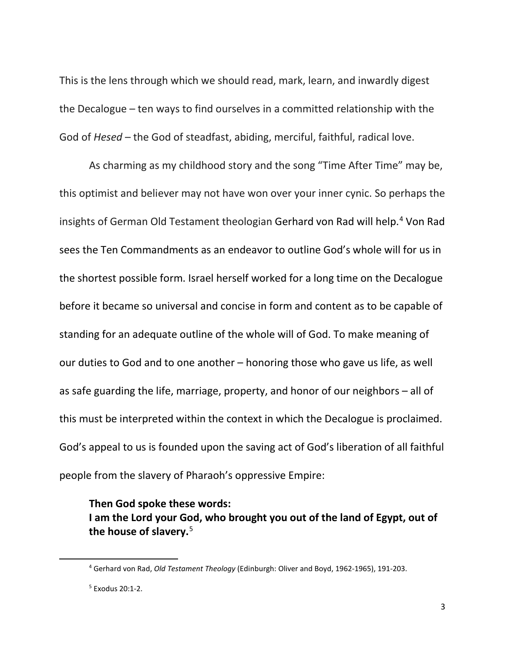This is the lens through which we should read, mark, learn, and inwardly digest the Decalogue – ten ways to find ourselves in a committed relationship with the God of *Hesed* – the God of steadfast, abiding, merciful, faithful, radical love.

As charming as my childhood story and the song "Time After Time" may be, this optimist and believer may not have won over your inner cynic. So perhaps the insights of German Old Testament theologian Gerhard von Rad will help.<sup>[4](#page-2-0)</sup> Von Rad sees the Ten Commandments as an endeavor to outline God's whole will for us in the shortest possible form. Israel herself worked for a long time on the Decalogue before it became so universal and concise in form and content as to be capable of standing for an adequate outline of the whole will of God. To make meaning of our duties to God and to one another – honoring those who gave us life, as well as safe guarding the life, marriage, property, and honor of our neighbors – all of this must be interpreted within the context in which the Decalogue is proclaimed. God's appeal to us is founded upon the saving act of God's liberation of all faithful people from the slavery of Pharaoh's oppressive Empire:

## **Then God spoke these words: I am the Lord your God, who brought you out of the land of Egypt, out of the house of slavery.**[5](#page-2-1)

<span id="page-2-1"></span><span id="page-2-0"></span>l

<sup>4</sup> Gerhard von Rad, *Old Testament Theology* (Edinburgh: Oliver and Boyd, 1962-1965), 191-203.

<sup>5</sup> Exodus 20:1-2.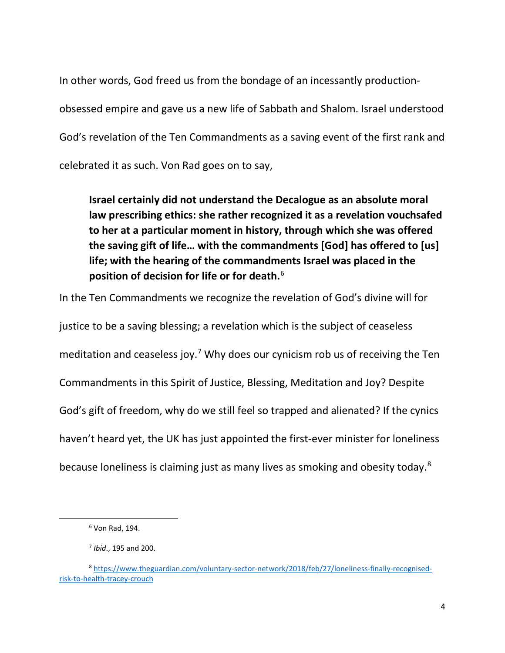In other words, God freed us from the bondage of an incessantly productionobsessed empire and gave us a new life of Sabbath and Shalom. Israel understood God's revelation of the Ten Commandments as a saving event of the first rank and celebrated it as such. Von Rad goes on to say,

**Israel certainly did not understand the Decalogue as an absolute moral law prescribing ethics: she rather recognized it as a revelation vouchsafed to her at a particular moment in history, through which she was offered the saving gift of life… with the commandments [God] has offered to [us] life; with the hearing of the commandments Israel was placed in the position of decision for life or for death.**[6](#page-3-0)

In the Ten Commandments we recognize the revelation of God's divine will for justice to be a saving blessing; a revelation which is the subject of ceaseless meditation and ceaseless joy.<sup>[7](#page-3-1)</sup> Why does our cynicism rob us of receiving the Ten Commandments in this Spirit of Justice, Blessing, Meditation and Joy? Despite God's gift of freedom, why do we still feel so trapped and alienated? If the cynics haven't heard yet, the UK has just appointed the first-ever minister for loneliness because loneliness is claiming just as many lives as smoking and obesity today.<sup>[8](#page-3-2)</sup>

 $6$  Von Rad, 194.

 <sup>7</sup> *Ibid*., 195 and 200.

<span id="page-3-2"></span><span id="page-3-1"></span><span id="page-3-0"></span><sup>8</sup> [https://www.theguardian.com/voluntary-sector-network/2018/feb/27/loneliness-finally-recognised](https://www.theguardian.com/voluntary-sector-network/2018/feb/27/loneliness-finally-recognised-risk-to-health-tracey-crouch)[risk-to-health-tracey-crouch](https://www.theguardian.com/voluntary-sector-network/2018/feb/27/loneliness-finally-recognised-risk-to-health-tracey-crouch)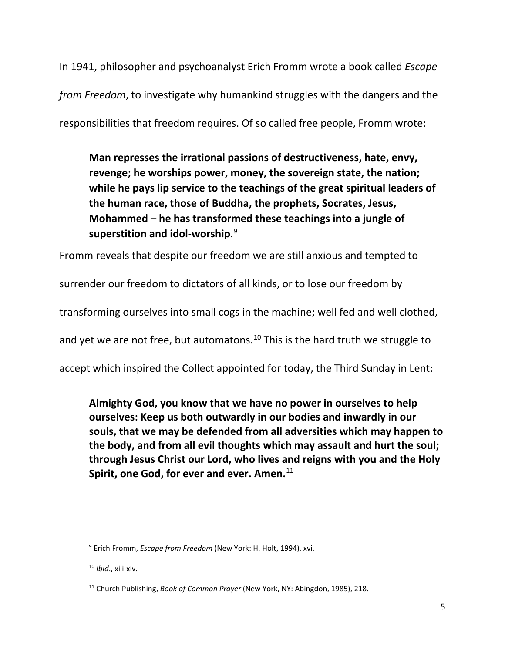In 1941, philosopher and psychoanalyst Erich Fromm wrote a book called *Escape from Freedom*, to investigate why humankind struggles with the dangers and the responsibilities that freedom requires. Of so called free people, Fromm wrote:

**Man represses the irrational passions of destructiveness, hate, envy, revenge; he worships power, money, the sovereign state, the nation; while he pays lip service to the teachings of the great spiritual leaders of the human race, those of Buddha, the prophets, Socrates, Jesus, Mohammed – he has transformed these teachings into a jungle of superstition and idol-worship**. [9](#page-4-0)

Fromm reveals that despite our freedom we are still anxious and tempted to

surrender our freedom to dictators of all kinds, or to lose our freedom by

transforming ourselves into small cogs in the machine; well fed and well clothed,

and yet we are not free, but automatons.<sup>[10](#page-4-1)</sup> This is the hard truth we struggle to

accept which inspired the Collect appointed for today, the Third Sunday in Lent:

**Almighty God, you know that we have no power in ourselves to help ourselves: Keep us both outwardly in our bodies and inwardly in our souls, that we may be defended from all adversities which may happen to the body, and from all evil thoughts which may assault and hurt the soul; through Jesus Christ our Lord, who lives and reigns with you and the Holy**  Spirit, one God, for ever and ever. Amen.<sup>[11](#page-4-2)</sup>

<span id="page-4-0"></span><sup>9</sup> Erich Fromm, *Escape from Freedom* (New York: H. Holt, 1994), xvi.

<span id="page-4-1"></span><sup>10</sup> *Ibid*., xiii-xiv.

<span id="page-4-2"></span><sup>11</sup> Church Publishing, *Book of Common Prayer* (New York, NY: Abingdon, 1985), 218.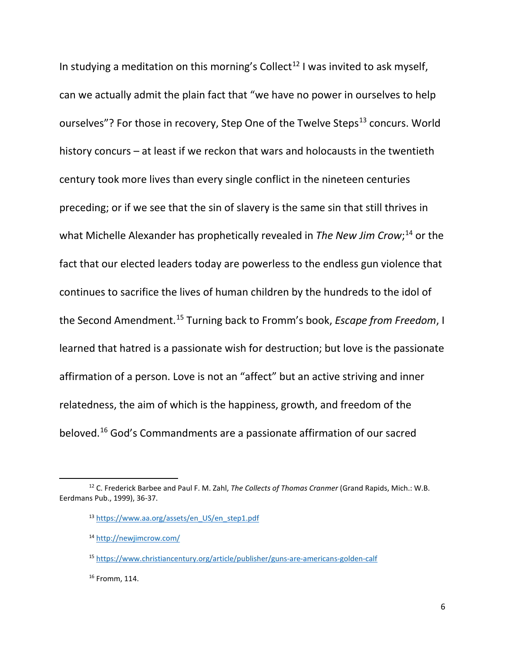In studying a meditation on this morning's Collect<sup>[12](#page-5-0)</sup> I was invited to ask myself, can we actually admit the plain fact that "we have no power in ourselves to help ourselves"? For those in recovery, Step One of the Twelve Steps $^{13}$  $^{13}$  $^{13}$  concurs. World history concurs – at least if we reckon that wars and holocausts in the twentieth century took more lives than every single conflict in the nineteen centuries preceding; or if we see that the sin of slavery is the same sin that still thrives in what Michelle Alexander has prophetically revealed in The New Jim Crow;<sup>[14](#page-5-2)</sup> or the fact that our elected leaders today are powerless to the endless gun violence that continues to sacrifice the lives of human children by the hundreds to the idol of the Second Amendment.[15](#page-5-3) Turning back to Fromm's book, *Escape from Freedom*, I learned that hatred is a passionate wish for destruction; but love is the passionate affirmation of a person. Love is not an "affect" but an active striving and inner relatedness, the aim of which is the happiness, growth, and freedom of the beloved.[16](#page-5-4) God's Commandments are a passionate affirmation of our sacred

<span id="page-5-2"></span><span id="page-5-1"></span><span id="page-5-0"></span><sup>12</sup> C. Frederick Barbee and Paul F. M. Zahl, *The Collects of Thomas Cranmer* (Grand Rapids, Mich.: W.B. Eerdmans Pub., 1999), 36-37.

<sup>13</sup> [https://www.aa.org/assets/en\\_US/en\\_step1.pdf](https://www.aa.org/assets/en_US/en_step1.pdf)

 <sup>14</sup> <http://newjimcrow.com/>

<span id="page-5-3"></span><sup>15</sup> [https://www.christiancentury.org/article/publisher/guns-are-americans-golden-calf](https://eur02.safelinks.protection.outlook.com/?url=https%3A%2F%2Fwww.christiancentury.org%2Farticle%2Fpublisher%2Fguns-are-americans-golden-calf&data=02%7C01%7C%7Cd0f3de4a53434da92a6608d57e4e04c9%7C84df9e7fe9f640afb435aaaaaaaaaaaa%7C1%7C0%7C636553795905235044&sdata=IACEpNzkw%2B8c4GGggR6MkOE5qBt%2BDZlc1qIZgCoXhGw%3D&reserved=0)

<span id="page-5-4"></span><sup>16</sup> Fromm, 114.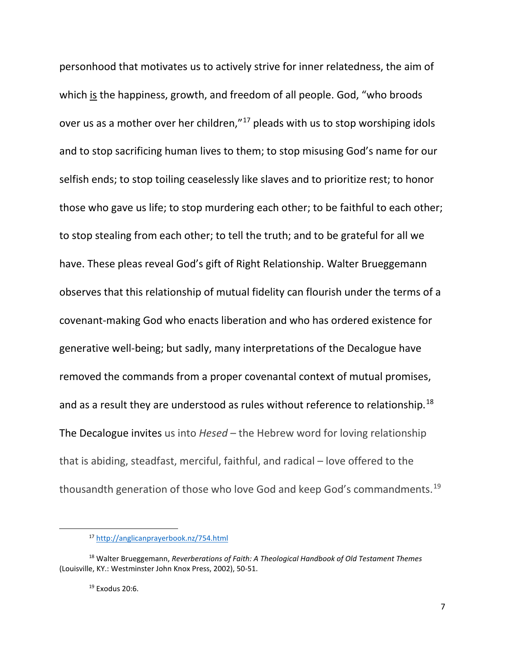personhood that motivates us to actively strive for inner relatedness, the aim of which is the happiness, growth, and freedom of all people. God, "who broods over us as a mother over her children,"<sup>[17](#page-6-0)</sup> pleads with us to stop worshiping idols and to stop sacrificing human lives to them; to stop misusing God's name for our selfish ends; to stop toiling ceaselessly like slaves and to prioritize rest; to honor those who gave us life; to stop murdering each other; to be faithful to each other; to stop stealing from each other; to tell the truth; and to be grateful for all we have. These pleas reveal God's gift of Right Relationship. Walter Brueggemann observes that this relationship of mutual fidelity can flourish under the terms of a covenant-making God who enacts liberation and who has ordered existence for generative well-being; but sadly, many interpretations of the Decalogue have removed the commands from a proper covenantal context of mutual promises, and as a result they are understood as rules without reference to relationship.<sup>[18](#page-6-1)</sup> The Decalogue invites us into *Hesed* – the Hebrew word for loving relationship that is abiding, steadfast, merciful, faithful, and radical – love offered to the thousandth generation of those who love God and keep God's commandments.[19](#page-6-2)

<sup>17</sup> <http://anglicanprayerbook.nz/754.html>

<span id="page-6-2"></span><span id="page-6-1"></span><span id="page-6-0"></span><sup>18</sup> Walter Brueggemann, *Reverberations of Faith: A Theological Handbook of Old Testament Themes* (Louisville, KY.: Westminster John Knox Press, 2002), 50-51.

 $19$  Exodus 20:6